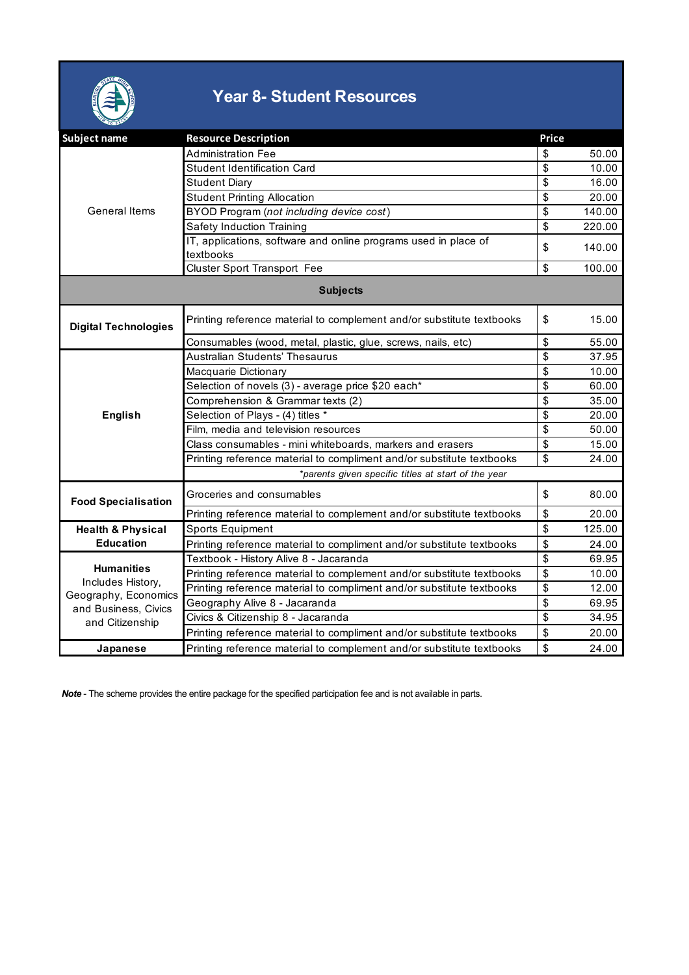

## **Year 8- Student Resources**

| Subject name                                                                                              | <b>Resource Description</b>                                                  | Price                                |        |  |  |
|-----------------------------------------------------------------------------------------------------------|------------------------------------------------------------------------------|--------------------------------------|--------|--|--|
| <b>General Items</b>                                                                                      | <b>Administration Fee</b>                                                    | \$                                   | 50.00  |  |  |
|                                                                                                           | Student Identification Card                                                  | \$                                   | 10.00  |  |  |
|                                                                                                           | <b>Student Diary</b>                                                         | \$                                   | 16.00  |  |  |
|                                                                                                           | <b>Student Printing Allocation</b>                                           | $\overline{\mathsf{s}}$              | 20.00  |  |  |
|                                                                                                           | BYOD Program (not including device cost)                                     | \$                                   | 140.00 |  |  |
|                                                                                                           | Safety Induction Training                                                    | \$                                   | 220.00 |  |  |
|                                                                                                           | IT, applications, software and online programs used in place of<br>textbooks | \$                                   | 140.00 |  |  |
|                                                                                                           | <b>Cluster Sport Transport Fee</b>                                           | \$                                   | 100.00 |  |  |
| <b>Subjects</b>                                                                                           |                                                                              |                                      |        |  |  |
| <b>Digital Technologies</b>                                                                               | Printing reference material to complement and/or substitute textbooks        | \$                                   | 15.00  |  |  |
|                                                                                                           | Consumables (wood, metal, plastic, glue, screws, nails, etc)                 | \$                                   | 55.00  |  |  |
|                                                                                                           | Australian Students' Thesaurus                                               | \$                                   | 37.95  |  |  |
|                                                                                                           | Macquarie Dictionary                                                         | \$                                   | 10.00  |  |  |
|                                                                                                           | Selection of novels (3) - average price \$20 each*                           | \$                                   | 60.00  |  |  |
|                                                                                                           | Comprehension & Grammar texts (2)                                            | \$                                   | 35.00  |  |  |
| <b>English</b>                                                                                            | Selection of Plays - (4) titles *                                            | \$                                   | 20.00  |  |  |
|                                                                                                           | Film, media and television resources                                         | \$                                   | 50.00  |  |  |
|                                                                                                           | Class consumables - mini whiteboards, markers and erasers                    | \$                                   | 15.00  |  |  |
|                                                                                                           | Printing reference material to compliment and/or substitute textbooks        | \$                                   | 24.00  |  |  |
|                                                                                                           | *parents given specific titles at start of the year                          |                                      |        |  |  |
| <b>Food Specialisation</b>                                                                                | Groceries and consumables                                                    | \$                                   | 80.00  |  |  |
|                                                                                                           | Printing reference material to complement and/or substitute textbooks        | \$                                   | 20.00  |  |  |
| <b>Health &amp; Physical</b>                                                                              | Sports Equipment                                                             | \$                                   | 125.00 |  |  |
| <b>Education</b>                                                                                          | Printing reference material to compliment and/or substitute textbooks        | \$                                   | 24.00  |  |  |
| <b>Humanities</b><br>Includes History,<br>Geography, Economics<br>and Business, Civics<br>and Citizenship | Textbook - History Alive 8 - Jacaranda                                       | \$                                   | 69.95  |  |  |
|                                                                                                           | Printing reference material to complement and/or substitute textbooks        | \$                                   | 10.00  |  |  |
|                                                                                                           | Printing reference material to compliment and/or substitute textbooks        | \$                                   | 12.00  |  |  |
|                                                                                                           | Geography Alive 8 - Jacaranda                                                | $\overline{\boldsymbol{\mathsf{s}}}$ | 69.95  |  |  |
|                                                                                                           | Civics & Citizenship 8 - Jacaranda                                           | \$                                   | 34.95  |  |  |
|                                                                                                           | Printing reference material to compliment and/or substitute textbooks        | \$                                   | 20.00  |  |  |
| Japanese                                                                                                  | Printing reference material to complement and/or substitute textbooks        | \$                                   | 24.00  |  |  |

*Note* - The scheme provides the entire package for the specified participation fee and is not available in parts.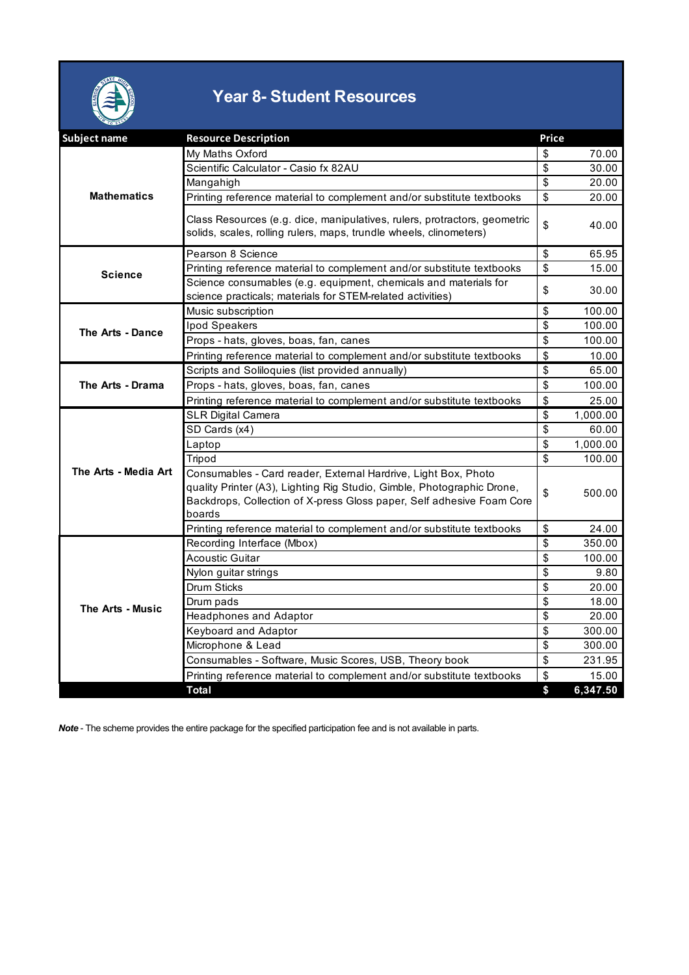

## **Year 8- Student Resources**

| Subject name         | <b>Resource Description</b>                                                                                                                                                                                                 | Price         |          |
|----------------------|-----------------------------------------------------------------------------------------------------------------------------------------------------------------------------------------------------------------------------|---------------|----------|
| <b>Mathematics</b>   | My Maths Oxford                                                                                                                                                                                                             | S             | 70.00    |
|                      | Scientific Calculator - Casio fx 82AU                                                                                                                                                                                       | \$            | 30.00    |
|                      | Mangahigh                                                                                                                                                                                                                   | \$            | 20.00    |
|                      | Printing reference material to complement and/or substitute textbooks                                                                                                                                                       | \$            | 20.00    |
|                      | Class Resources (e.g. dice, manipulatives, rulers, protractors, geometric<br>solids, scales, rolling rulers, maps, trundle wheels, clinometers)                                                                             | \$            | 40.00    |
| <b>Science</b>       | Pearson 8 Science                                                                                                                                                                                                           | \$            | 65.95    |
|                      | Printing reference material to complement and/or substitute textbooks                                                                                                                                                       | \$            | 15.00    |
|                      | Science consumables (e.g. equipment, chemicals and materials for<br>science practicals; materials for STEM-related activities)                                                                                              | \$            | 30.00    |
|                      | Music subscription                                                                                                                                                                                                          | \$            | 100.00   |
| The Arts - Dance     | Ipod Speakers                                                                                                                                                                                                               | \$            | 100.00   |
|                      | Props - hats, gloves, boas, fan, canes                                                                                                                                                                                      | \$            | 100.00   |
|                      | Printing reference material to complement and/or substitute textbooks                                                                                                                                                       | \$            | 10.00    |
|                      | Scripts and Soliloquies (list provided annually)                                                                                                                                                                            | \$            | 65.00    |
| The Arts - Drama     | Props - hats, gloves, boas, fan, canes                                                                                                                                                                                      | \$            | 100.00   |
|                      | Printing reference material to complement and/or substitute textbooks                                                                                                                                                       | \$            | 25.00    |
|                      | <b>SLR Digital Camera</b>                                                                                                                                                                                                   | \$            | 1,000.00 |
|                      | SD Cards (x4)                                                                                                                                                                                                               | \$            | 60.00    |
|                      | Laptop                                                                                                                                                                                                                      | \$            | 1,000.00 |
|                      | Tripod                                                                                                                                                                                                                      | \$            | 100.00   |
| The Arts - Media Art | Consumables - Card reader, External Hardrive, Light Box, Photo<br>quality Printer (A3), Lighting Rig Studio, Gimble, Photographic Drone,<br>Backdrops, Collection of X-press Gloss paper, Self adhesive Foam Core<br>boards | \$            | 500.00   |
|                      | Printing reference material to complement and/or substitute textbooks                                                                                                                                                       | \$            | 24.00    |
|                      | Recording Interface (Mbox)                                                                                                                                                                                                  | $\mathfrak s$ | 350.00   |
|                      | <b>Acoustic Guitar</b>                                                                                                                                                                                                      | \$            | 100.00   |
|                      | Nylon guitar strings                                                                                                                                                                                                        | \$            | 9.80     |
|                      | Drum Sticks                                                                                                                                                                                                                 | \$            | 20.00    |
| The Arts - Music     | Drum pads                                                                                                                                                                                                                   | \$            | 18.00    |
|                      | <b>Headphones and Adaptor</b>                                                                                                                                                                                               | \$            | 20.00    |
|                      | Keyboard and Adaptor                                                                                                                                                                                                        | \$            | 300.00   |
|                      | Microphone & Lead                                                                                                                                                                                                           | \$            | 300.00   |
|                      | Consumables - Software, Music Scores, USB, Theory book                                                                                                                                                                      | \$            | 231.95   |
|                      | Printing reference material to complement and/or substitute textbooks                                                                                                                                                       | \$            | 15.00    |
|                      | Total                                                                                                                                                                                                                       | \$            | 6,347.50 |

*Note* - The scheme provides the entire package for the specified participation fee and is not available in parts.